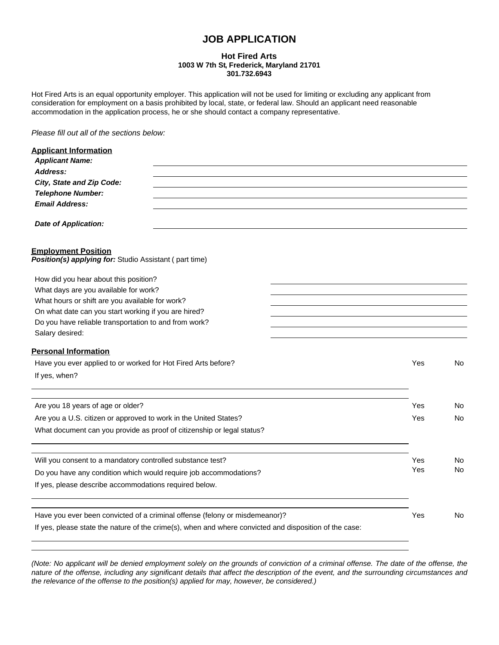# **JOB APPLICATION**

### **Hot Fired Arts 1003 W 7th St, Frederick, Maryland 21701 301.732.6943**

Hot Fired Arts is an equal opportunity employer. This application will not be used for limiting or excluding any applicant from consideration for employment on a basis prohibited by local, state, or federal law. Should an applicant need reasonable accommodation in the application process, he or she should contact a company representative.

*Please fill out all of the sections below:*

| <b>Applicant Information</b>                                                                           |     |    |
|--------------------------------------------------------------------------------------------------------|-----|----|
| <b>Applicant Name:</b>                                                                                 |     |    |
| Address:                                                                                               |     |    |
| City, State and Zip Code:                                                                              |     |    |
| <b>Telephone Number:</b>                                                                               |     |    |
| <b>Email Address:</b>                                                                                  |     |    |
| <b>Date of Application:</b>                                                                            |     |    |
| <b>Employment Position</b><br>Position(s) applying for: Studio Assistant (part time)                   |     |    |
| How did you hear about this position?                                                                  |     |    |
| What days are you available for work?                                                                  |     |    |
| What hours or shift are you available for work?                                                        |     |    |
| On what date can you start working if you are hired?                                                   |     |    |
| Do you have reliable transportation to and from work?                                                  |     |    |
| Salary desired:                                                                                        |     |    |
| <b>Personal Information</b>                                                                            |     |    |
| Have you ever applied to or worked for Hot Fired Arts before?                                          | Yes | No |
| If yes, when?                                                                                          |     |    |
|                                                                                                        | Yes |    |
| Are you 18 years of age or older?                                                                      |     | No |
| Are you a U.S. citizen or approved to work in the United States?                                       | Yes | No |
| What document can you provide as proof of citizenship or legal status?                                 |     |    |
| Will you consent to a mandatory controlled substance test?                                             | Yes | No |
|                                                                                                        | Yes | No |
| Do you have any condition which would require job accommodations?                                      |     |    |
| If yes, please describe accommodations required below.                                                 |     |    |
|                                                                                                        |     |    |
| Have you ever been convicted of a criminal offense (felony or misdemeanor)?                            | Yes | No |
| If yes, please state the nature of the crime(s), when and where convicted and disposition of the case: |     |    |

*(Note: No applicant will be denied employment solely on the grounds of conviction of a criminal offense. The date of the offense, the nature of the offense, including any significant details that affect the description of the event, and the surrounding circumstances and the relevance of the offense to the position(s) applied for may, however, be considered.)*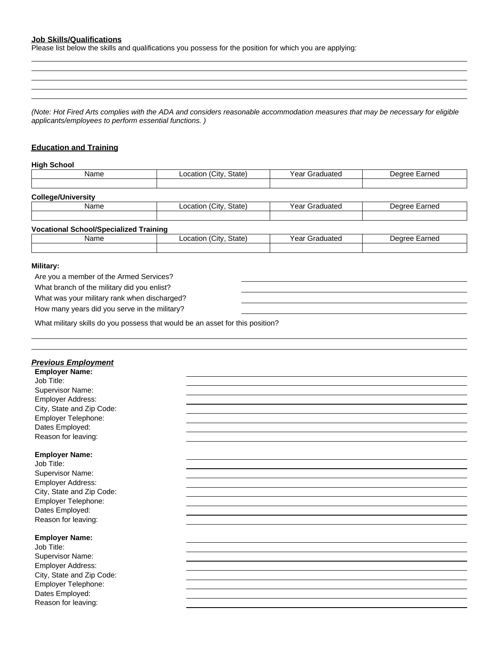# **Job Skills/Qualifications**

Please list below the skills and qualifications you possess for the position for which you are applying:

*(Note: Hot Fired Arts complies with the ADA and considers reasonable accommodation measures that may be necessary for eligible applicants/employees to perform essential functions. )*

# **Education and Training**

#### **High School**

| Name                                          | Location (City, State) | Year Graduated | Degree Earned |
|-----------------------------------------------|------------------------|----------------|---------------|
|                                               |                        |                |               |
| <b>College/University</b>                     |                        |                |               |
| Name                                          | Location (City, State) | Year Graduated | Degree Earned |
|                                               |                        |                |               |
| <b>Vocational School/Specialized Training</b> |                        |                |               |
| Name                                          | Location (City, State) | Year Graduated | Degree Earned |
|                                               |                        |                |               |
| $0.00114 - 0.001$                             |                        |                |               |

#### **Military:**

Are you a member of the Armed Services? What branch of the military did you enlist? What was your military rank when discharged? How many years did you serve in the military?

What military skills do you possess that would be an asset for this position?

| <b>Previous Employment</b> |  |
|----------------------------|--|
| <b>Employer Name:</b>      |  |
| Job Title:                 |  |
| Supervisor Name:           |  |
| Employer Address:          |  |
| City, State and Zip Code:  |  |
| Employer Telephone:        |  |
| Dates Employed:            |  |
| Reason for leaving:        |  |
|                            |  |
| <b>Employer Name:</b>      |  |
| Job Title:                 |  |
| Supervisor Name:           |  |
| Employer Address:          |  |
| City, State and Zip Code:  |  |
| Employer Telephone:        |  |
| Dates Employed:            |  |
| Reason for leaving:        |  |
|                            |  |
| <b>Employer Name:</b>      |  |
| Job Title:                 |  |
| Supervisor Name:           |  |
| Employer Address:          |  |
| City, State and Zip Code:  |  |
| Employer Telephone:        |  |
| Dates Employed:            |  |
| Reason for leaving:        |  |